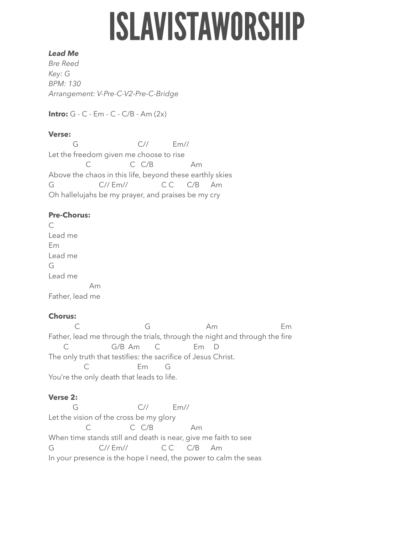# **ISLAVISTAWORSHIP**

#### *Lead Me*

*Bre Reed Key: G BPM: 130 Arrangement: V-Pre-C-V2-Pre-C-Bridge* 

**Intro:** G - C - Em - C - C/B - Am (2x)

#### **Verse:**

 G C// Em// Let the freedom given me choose to rise C C C/B Am Above the chaos in this life, beyond these earthly skies G C// Em// CC C/B Am Oh hallelujahs be my prayer, and praises be my cry

## **Pre-Chorus:**

C Lead me Em Lead me G Lead me Am Father, lead me

# **Chorus:**

C G Am Em Father, lead me through the trials, through the night and through the fire C G/B Am C Em D The only truth that testifies: the sacrifice of Jesus Christ. C Em G You're the only death that leads to life.

### **Verse 2:**

 G C// Em// Let the vision of the cross be my glory C C C/B Am When time stands still and death is near, give me faith to see G C// Em// CC C/B Am In your presence is the hope I need, the power to calm the seas